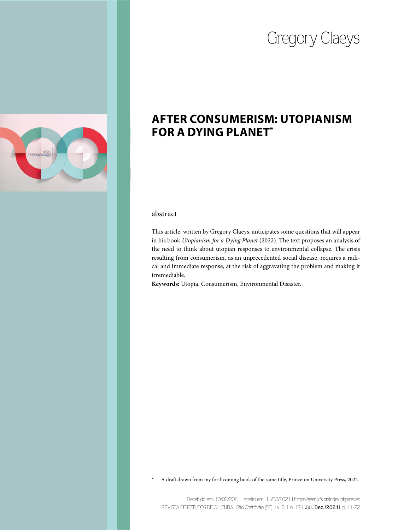# Gregory Claeys



# **AFTER CONSUMERISM: UTOPIANISM FOR A DYING PLANET\***

## abstract

This article, written by Gregory Claeys, anticipates some questions that will appear in his book *Utopianism for a Dying Planet* (2022). The text proposes an analysis of the need to think about utopian responses to environmental collapse. The crisis resulting from consumerism, as an unprecedented social disease, requires a radical and immediate response, at the risk of aggravating the problem and making it irremediable.

**Keywords:** Utopia. Consumerism. Environmental Disaster.

A draft drawn from my forthcoming book of the same title, Princeton University Press, 2022.

Recebido em: 10/02/2021 | Aceito em: 11/03/2021 | https://seer.ufs.br/index.php/revec REVISTA DE ESTUDOS DE CULTURA | São Cristóvão (SE) | v. 2 | n. 17 | **Jul. Dez./2021|** p. 11-22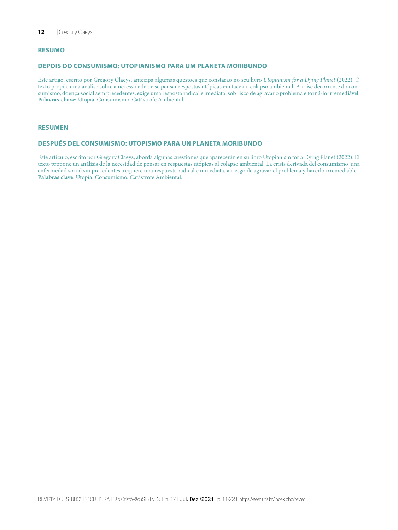#### **RESUMO**

#### **DEPOIS DO CONSUMISMO: UTOPIANISMO PARA UM PLANETA MORIBUNDO**

Este artigo, escrito por Gregory Claeys, antecipa algumas questões que constarão no seu livro *Utopianism for a Dying Planet* (2022). O texto propõe uma análise sobre a necessidade de se pensar respostas utópicas em face do colapso ambiental. A crise decorrente do consumismo, doença social sem precedentes, exige uma resposta radical e imediata, sob risco de agravar o problema e torná-lo irremediável. **Palavras-chave:** Utopia. Consumismo. Catástrofe Ambiental.

#### **RESUMEN**

#### **DESPUÉS DEL CONSUMISMO: UTOPISMO PARA UN PLANETA MORIBUNDO**

Este artículo, escrito por Gregory Claeys, aborda algunas cuestiones que aparecerán en su libro Utopianism for a Dying Planet (2022). El texto propone un análisis de la necesidad de pensar en respuestas utópicas al colapso ambiental. La crisis derivada del consumismo, una enfermedad social sin precedentes, requiere una respuesta radical e inmediata, a riesgo de agravar el problema y hacerlo irremediable. **Palabras clave**: Utopía. Consumismo. Catástrofe Ambiental.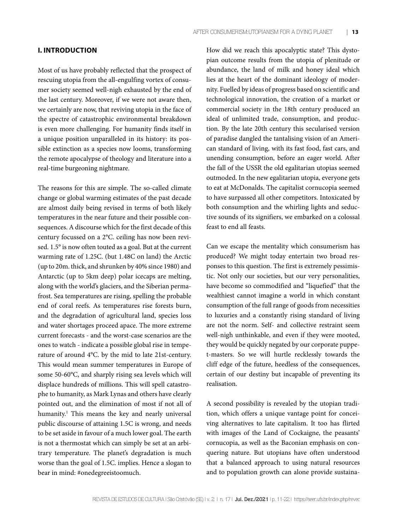#### **I. INTRODUCTION**

Most of us have probably reflected that the prospect of rescuing utopia from the all-engulfing vortex of consumer society seemed well-nigh exhausted by the end of the last century. Moreover, if we were not aware then, we certainly are now, that reviving utopia in the face of the spectre of catastrophic environmental breakdown is even more challenging. For humanity finds itself in a unique position unparalleled in its history: its possible extinction as a species now looms, transforming the remote apocalypse of theology and literature into a real-time burgeoning nightmare.

The reasons for this are simple. The so-called climate change or global warming estimates of the past decade are almost daily being revised in terms of both likely temperatures in the near future and their possible consequences. A discourse which for the first decade of this century focussed on a 2°C. ceiling has now been revised. 1.5° is now often touted as a goal. But at the current warming rate of 1.25C. (but 1.48C on land) the Arctic (up to 20m. thick, and shrunken by 40% since 1980) and Antarctic (up to 5km deep) polar icecaps are melting, along with the world's glaciers, and the Siberian permafrost. Sea temperatures are rising, spelling the probable end of coral reefs. As temperatures rise forests burn, and the degradation of agricultural land, species loss and water shortages proceed apace. The more extreme current forecasts - and the worst-case scenarios are the ones to watch - indicate a possible global rise in temperature of around 4°C. by the mid to late 21st-century. This would mean summer temperatures in Europe of some 50-60°C, and sharply rising sea levels which will displace hundreds of millions. This will spell catastrophe to humanity, as Mark Lynas and others have clearly pointed out, and the elimination of most if not all of humanity.<sup>1</sup> This means the key and nearly universal public discourse of attaining 1.5C is wrong, and needs to be set aside in favour of a much lower goal. The earth is not a thermostat which can simply be set at an arbitrary temperature. The planet's degradation is much worse than the goal of 1.5C. implies. Hence a slogan to bear in mind: #onedegreeistoomuch.

How did we reach this apocalyptic state? This dystopian outcome results from the utopia of plenitude or abundance, the land of milk and honey ideal which lies at the heart of the dominant ideology of modernity. Fuelled by ideas of progress based on scientific and technological innovation, the creation of a market or commercial society in the 18th century produced an ideal of unlimited trade, consumption, and production. By the late 20th century this secularised version of paradise dangled the tantalising vision of an American standard of living, with its fast food, fast cars, and unending consumption, before an eager world. After the fall of the USSR the old egalitarian utopias seemed outmoded. In the new egalitarian utopia, everyone gets to eat at McDonalds. The capitalist cornucopia seemed to have surpassed all other competitors. Intoxicated by both consumption and the whirling lights and seductive sounds of its signifiers, we embarked on a colossal feast to end all feasts.

Can we escape the mentality which consumerism has produced? We might today entertain two broad responses to this question. The first is extremely pessimistic. Not only our societies, but our very personalities, have become so commodified and "liquefied" that the wealthiest cannot imagine a world in which constant consumption of the full range of goods from necessities to luxuries and a constantly rising standard of living are not the norm. Self- and collective restraint seem well-nigh unthinkable, and even if they were mooted, they would be quickly negated by our corporate puppet-masters. So we will hurtle recklessly towards the cliff edge of the future, heedless of the consequences, certain of our destiny but incapable of preventing its realisation.

A second possibility is revealed by the utopian tradition, which offers a unique vantage point for conceiving alternatives to late capitalism. It too has flirted with images of the Land of Cockaigne, the peasants' cornucopia, as well as the Baconian emphasis on conquering nature. But utopians have often understood that a balanced approach to using natural resources and to population growth can alone provide sustaina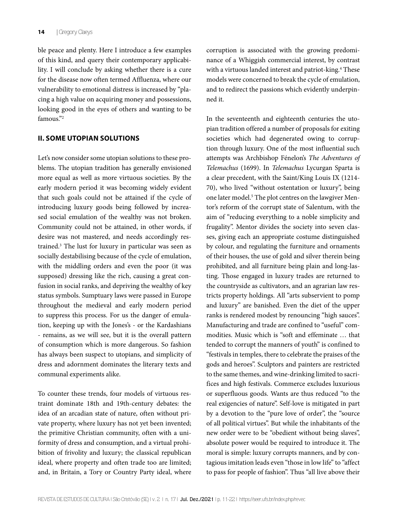ble peace and plenty. Here I introduce a few examples of this kind, and query their contemporary applicability. I will conclude by asking whether there is a cure for the disease now often termed Affluenza, where our vulnerability to emotional distress is increased by "placing a high value on acquiring money and possessions, looking good in the eyes of others and wanting to be famous"<sup>2</sup>

#### **II. SOME UTOPIAN SOLUTIONS**

Let's now consider some utopian solutions to these problems. The utopian tradition has generally envisioned more equal as well as more virtuous societies. By the early modern period it was becoming widely evident that such goals could not be attained if the cycle of introducing luxury goods being followed by increased social emulation of the wealthy was not broken. Community could not be attained, in other words, if desire was not mastered, and needs accordingly restrained.3 The lust for luxury in particular was seen as socially destabilising because of the cycle of emulation, with the middling orders and even the poor (it was supposed) dressing like the rich, causing a great confusion in social ranks, and depriving the wealthy of key status symbols. Sumptuary laws were passed in Europe throughout the medieval and early modern period to suppress this process. For us the danger of emulation, keeping up with the Jones's - or the Kardashians - remains, as we will see, but it is the overall pattern of consumption which is more dangerous. So fashion has always been suspect to utopians, and simplicity of dress and adornment dominates the literary texts and communal experiments alike.

To counter these trends, four models of virtuous restraint dominate 18th and 19th-century debates: the idea of an arcadian state of nature, often without private property, where luxury has not yet been invented; the primitive Christian community, often with a uniformity of dress and consumption, and a virtual prohibition of frivolity and luxury; the classical republican ideal, where property and often trade too are limited; and, in Britain, a Tory or Country Party ideal, where corruption is associated with the growing predominance of a Whiggish commercial interest, by contrast with a virtuous landed interest and patriot-king.<sup>4</sup> These models were concerned to break the cycle of emulation, and to redirect the passions which evidently underpinned it.

In the seventeenth and eighteenth centuries the utopian tradition offered a number of proposals for exiting societies which had degenerated owing to corruption through luxury. One of the most influential such attempts was Archbishop Fénelon's *The Adventures of Telemachus* (1699). In *Telemachus* Lycurgan Sparta is a clear precedent, with the Saint/King Louis IX (1214- 70), who lived "without ostentation or luxury", being one later model.<sup>5</sup> The plot centres on the lawgiver Mentor's reform of the corrupt state of Salentum, with the aim of "reducing everything to a noble simplicity and frugality". Mentor divides the society into seven classes, giving each an appropriate costume distinguished by colour, and regulating the furniture and ornaments of their houses, the use of gold and silver therein being prohibited, and all furniture being plain and long-lasting. Those engaged in luxury trades are returned to the countryside as cultivators, and an agrarian law restricts property holdings. All "arts subservient to pomp and luxury" are banished. Even the diet of the upper ranks is rendered modest by renouncing "high sauces". Manufacturing and trade are confined to "useful" commodities. Music which is "soft and effeminate … that tended to corrupt the manners of youth" is confined to "festivals in temples, there to celebrate the praises of the gods and heroes". Sculptors and painters are restricted to the same themes, and wine-drinking limited to sacrifices and high festivals. Commerce excludes luxurious or superfluous goods. Wants are thus reduced "to the real exigencies of nature". Self-love is mitigated in part by a devotion to the "pure love of order", the "source of all political virtues". But while the inhabitants of the new order were to be "obedient without being slaves", absolute power would be required to introduce it. The moral is simple: luxury corrupts manners, and by contagious imitation leads even "those in low life" to "affect to pass for people of fashion". Thus "all live above their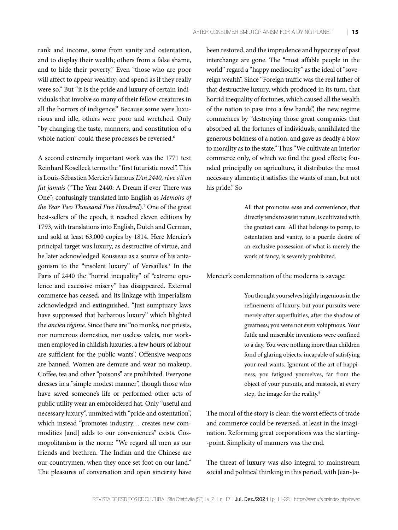rank and income, some from vanity and ostentation, and to display their wealth; others from a false shame, and to hide their poverty." Even "those who are poor will affect to appear wealthy; and spend as if they really were so." But "it is the pride and luxury of certain individuals that involve so many of their fellow-creatures in all the horrors of indigence." Because some were luxurious and idle, others were poor and wretched. Only "by changing the taste, manners, and constitution of a whole nation" could these processes be reversed.<sup>6</sup>

A second extremely important work was the 1771 text Reinhard Koselleck terms the "first futuristic novel". This is Louis-Sébastien Mercier's famous *L'An 2440, rêve s'il en fut jamais* ("The Year 2440: A Dream if ever There was One"; confusingly translated into English as *Memoirs of the Year Two Thousand Five Hundred*).7 One of the great best-sellers of the epoch, it reached eleven editions by 1793, with translations into English, Dutch and German, and sold at least 63,000 copies by 1814. Here Mercier's principal target was luxury, as destructive of virtue, and he later acknowledged Rousseau as a source of his antagonism to the "insolent luxury" of Versailles.8 In the Paris of 2440 the "horrid inequality" of "extreme opulence and excessive misery" has disappeared. External commerce has ceased, and its linkage with imperialism acknowledged and extinguished. "Just sumptuary laws have suppressed that barbarous luxury" which blighted the *ancien régime*. Since there are "no monks*,* nor priests, nor numerous domestics, nor useless valets, nor workmen employed in childish luxuries, a few hours of labour are sufficient for the public wants". Offensive weapons are banned. Women are demure and wear no makeup. Coffee, tea and other "poisons" are prohibited. Everyone dresses in a "simple modest manner", though those who have saved someone's life or performed other acts of public utility wear an embroidered hat. Only "useful and necessary luxury", unmixed with "pride and ostentation", which instead "promotes industry… creates new commodities [and] adds to our conveniences" exists. Cosmopolitanism is the norm: "We regard all men as our friends and brethren. The Indian and the Chinese are our countrymen, when they once set foot on our land." The pleasures of conversation and open sincerity have

been restored, and the imprudence and hypocrisy of past interchange are gone. The "most affable people in the world" regard a "happy mediocrity" as the ideal of "sovereign wealth". Since "Foreign traffic was the real father of that destructive luxury, which produced in its turn, that horrid inequality of fortunes, which caused all the wealth of the nation to pass into a few hands", the new regime commences by "destroying those great companies that absorbed all the fortunes of individuals, annihilated the generous boldness of a nation, and gave as deadly a blow to morality as to the state." Thus "We cultivate an interior commerce only, of which we find the good effects; founded principally on agriculture, it distributes the most necessary aliments; it satisfies the wants of man, but not his pride." So

> All that promotes ease and convenience, that directly tends to assist nature, is cultivated with the greatest care. All that belongs to pomp, to ostentation and vanity, to a puerile desire of an exclusive possession of what is merely the work of fancy, is severely prohibited.

Mercier's condemnation of the moderns is savage:

You thought yourselves highly ingenious in the refinements of luxury, but your pursuits were merely after superfluities, after the shadow of greatness; you were not even voluptuous. Your futile and miserable inventions were confined to a day. You were nothing more than children fond of glaring objects, incapable of satisfying your real wants. Ignorant of the art of happiness, you fatigued yourselves, far from the object of your pursuits, and mistook, at every step, the image for the reality.<sup>9</sup>

The moral of the story is clear: the worst effects of trade and commerce could be reversed, at least in the imagination. Reforming great corporations was the starting- -point. Simplicity of manners was the end.

The threat of luxury was also integral to mainstream social and political thinking in this period, with Jean-Ja-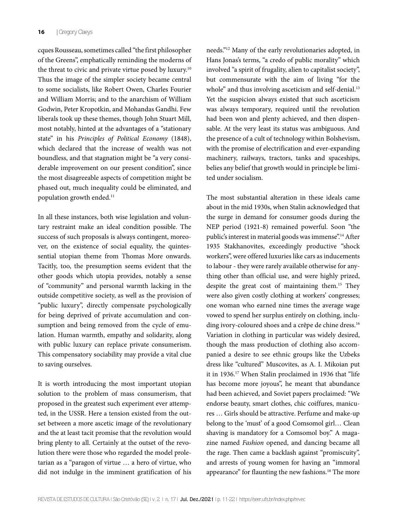cques Rousseau, sometimes called "the first philosopher of the Greens", emphatically reminding the moderns of the threat to civic and private virtue posed by luxury.<sup>10</sup> Thus the image of the simpler society became central to some socialists, like Robert Owen, Charles Fourier and William Morris; and to the anarchism of William Godwin, Peter Kropotkin, and Mohandas Gandhi. Few liberals took up these themes, though John Stuart Mill, most notably, hinted at the advantages of a "stationary state" in his *Principles of Political Economy* (1848), which declared that the increase of wealth was not boundless, and that stagnation might be "a very considerable improvement on our present condition", since the most disagreeable aspects of competition might be phased out, much inequality could be eliminated, and population growth ended.<sup>11</sup>

In all these instances, both wise legislation and voluntary restraint make an ideal condition possible. The success of such proposals is always contingent, moreover, on the existence of social equality, the quintessential utopian theme from Thomas More onwards. Tacitly, too, the presumption seems evident that the other goods which utopia provides, notably a sense of "community" and personal warmth lacking in the outside competitive society, as well as the provision of "public luxury", directly compensate psychologically for being deprived of private accumulation and consumption and being removed from the cycle of emulation. Human warmth, empathy and solidarity, along with public luxury can replace private consumerism. This compensatory sociability may provide a vital clue to saving ourselves.

It is worth introducing the most important utopian solution to the problem of mass consumerism, that proposed in the greatest such experiment ever attempted, in the USSR. Here a tension existed from the outset between a more ascetic image of the revolutionary and the at least tacit promise that the revolution would bring plenty to all. Certainly at the outset of the revolution there were those who regarded the model proletarian as a "paragon of virtue … a hero of virtue, who did not indulge in the imminent gratification of his

needs."12 Many of the early revolutionaries adopted, in Hans Jonas's terms, "a credo of public morality" which involved "a spirit of frugality, alien to capitalist society", but commensurate with the aim of living "for the whole" and thus involving asceticism and self-denial.<sup>13</sup> Yet the suspicion always existed that such asceticism was always temporary, required until the revolution had been won and plenty achieved, and then dispensable. At the very least its status was ambiguous. And the presence of a cult of technology within Bolshevism, with the promise of electrification and ever-expanding machinery, railways, tractors, tanks and spaceships, belies any belief that growth would in principle be limited under socialism.

The most substantial alteration in these ideals came about in the mid 1930s, when Stalin acknowledged that the surge in demand for consumer goods during the NEP period (1921-8) remained powerful. Soon "the public's interest in material goods was immense".<sup>14</sup> After 1935 Stakhanovites, exceedingly productive "shock workers", were offered luxuries like cars as inducements to labour - they were rarely available otherwise for anything other than official use, and were highly prized, despite the great cost of maintaining them.15 They were also given costly clothing at workers' congresses; one woman who earned nine times the average wage vowed to spend her surplus entirely on clothing, including ivory-coloured shoes and a crêpe de chine dress.<sup>16</sup> Variation in clothing in particular was widely desired, though the mass production of clothing also accompanied a desire to see ethnic groups like the Uzbeks dress like "cultured" Muscovites, as A. I. Mikoian put it in 1936.17 When Stalin proclaimed in 1936 that "life has become more joyous", he meant that abundance had been achieved, and Soviet papers proclaimed: "We endorse beauty, smart clothes, chic coiffures, manicures … Girls should be attractive. Perfume and make-up belong to the 'must' of a good Comsomol girl… Clean shaving is mandatory for a Comsomol boy." A magazine named *Fashion* opened, and dancing became all the rage. Then came a backlash against "promiscuity", and arrests of young women for having an "immoral appearance" for flaunting the new fashions.<sup>18</sup> The more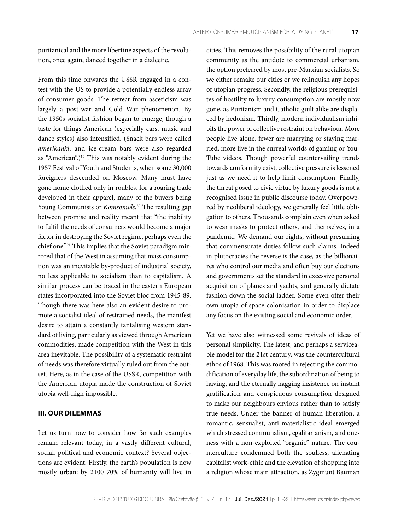puritanical and the more libertine aspects of the revolution, once again, danced together in a dialectic.

From this time onwards the USSR engaged in a contest with the US to provide a potentially endless array of consumer goods. The retreat from asceticism was largely a post-war and Cold War phenomenon. By the 1950s socialist fashion began to emerge, though a taste for things American (especially cars, music and dance styles) also intensified. (Snack bars were called *amerikanki*, and ice-cream bars were also regarded as "American".)<sup>19</sup> This was notably evident during the 1957 Festival of Youth and Students, when some 30,000 foreigners descended on Moscow. Many must have gone home clothed only in roubles, for a roaring trade developed in their apparel, many of the buyers being Young Communists or *Komsomols*. 20 The resulting gap between promise and reality meant that "the inability to fulfil the needs of consumers would become a major factor in destroying the Soviet regime, perhaps even the chief one."21 This implies that the Soviet paradigm mirrored that of the West in assuming that mass consumption was an inevitable by-product of industrial society, no less applicable to socialism than to capitalism. A similar process can be traced in the eastern European states incorporated into the Soviet bloc from 1945-89. Though there was here also an evident desire to promote a socialist ideal of restrained needs, the manifest desire to attain a constantly tantalising western standard of living, particularly as viewed through American commodities, made competition with the West in this area inevitable. The possibility of a systematic restraint of needs was therefore virtually ruled out from the outset. Here, as in the case of the USSR, competition with the American utopia made the construction of Soviet utopia well-nigh impossible.

#### **III. OUR DILEMMAS**

Let us turn now to consider how far such examples remain relevant today, in a vastly different cultural, social, political and economic context? Several objections are evident. Firstly, the earth's population is now mostly urban: by 2100 70% of humanity will live in

cities. This removes the possibility of the rural utopian community as the antidote to commercial urbanism, the option preferred by most pre-Marxian socialists. So we either remake our cities or we relinquish any hopes of utopian progress. Secondly, the religious prerequisites of hostility to luxury consumption are mostly now gone, as Puritanism and Catholic guilt alike are displaced by hedonism. Thirdly, modern individualism inhibits the power of collective restraint on behaviour. More people live alone, fewer are marrying or staying married, more live in the surreal worlds of gaming or You-Tube videos. Though powerful countervailing trends towards conformity exist, collective pressure is lessened just as we need it to help limit consumption. Finally, the threat posed to civic virtue by luxury goods is not a recognised issue in public discourse today. Overpowered by neoliberal ideology, we generally feel little obligation to others. Thousands complain even when asked to wear masks to protect others, and themselves, in a pandemic. We demand our rights, without presuming that commensurate duties follow such claims. Indeed in plutocracies the reverse is the case, as the billionaires who control our media and often buy our elections and governments set the standard in excessive personal acquisition of planes and yachts, and generally dictate fashion down the social ladder. Some even offer their own utopia of space colonisation in order to displace any focus on the existing social and economic order.

Yet we have also witnessed some revivals of ideas of personal simplicity. The latest, and perhaps a serviceable model for the 21st century, was the countercultural ethos of 1968. This was rooted in rejecting the commodification of everyday life, the subordination of being to having, and the eternally nagging insistence on instant gratification and conspicuous consumption designed to make our neighbours envious rather than to satisfy true needs. Under the banner of human liberation, a romantic, sensualist, anti-materialistic ideal emerged which stressed communalism, egalitarianism, and oneness with a non-exploited "organic" nature. The counterculture condemned both the soulless, alienating capitalist work-ethic and the elevation of shopping into a religion whose main attraction, as Zygmunt Bauman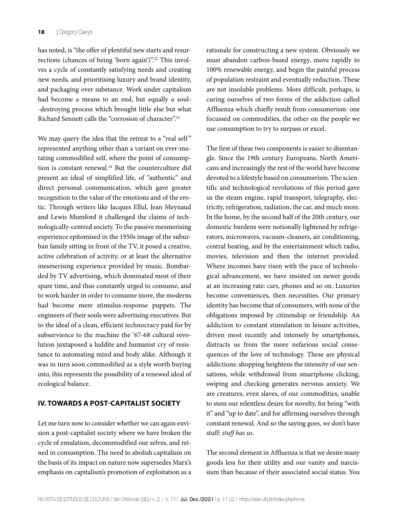has noted, is "the offer of plentiful new starts and resurrections (chances of being 'born again')".<sup>22</sup> This involves a cycle of constantly satisfying needs and creating new needs, and prioritising luxury and brand identity, and packaging over substance. Work under capitalism had become a means to an end, but equally a soul- -destroying process which brought little else but what Richard Sennett calls the "corrosion of character".23

We may query the idea that the retreat to a "real self" represented anything other than a variant on ever-mutating commodified self, where the point of consumption is constant renewal.24 But the counterculture did present an ideal of simplified life, of "authentic" and direct personal communication, which gave greater recognition to the value of the emotions and of the erotic. Through writers like Jacques Ellul, Jean Meynaud and Lewis Mumford it challenged the claims of technologically-centred society. To the passive mesmerising experience epitomised in the 1950s image of the suburban family sitting in front of the TV, it posed a creative, active celebration of activity, or at least the alternative mesmerising experience provided by music. Bombarded by TV advertising, which dominated most of their spare time, and thus constantly urged to consume, and to work harder in order to consume more, the moderns had become mere stimulus-response puppets. The engineers of their souls were advertising executives. But to the ideal of a clean, efficient technocracy paid for by subservience to the machine the '67-68 cultural revolution juxtaposed a luddite and humanist cry of resistance to automating mind and body alike. Although it was in turn soon commodified as a style worth buying into, this represents the possibility of a renewed ideal of ecological balance.

# **IV. TOWARDS A POST-CAPITALIST SOCIETY**

Let me turn now to consider whether we can again envision a post-capitalist society where we have broken the cycle of emulation, decommodified our selves, and reined in consumption. The need to abolish capitalism on the basis of its impact on nature now supersedes Marx's emphasis on capitalism's promotion of exploitation as a

rationale for constructing a new system. Obviously we must abandon carbon-based energy, move rapidly to 100% renewable energy, and begin the painful process of population restraint and eventually reduction. These are not insoluble problems. More difficult, perhaps, is curing ourselves of two forms of the addiction called Affluenza which chiefly result from consumerism: one focussed on commodities, the other on the people we use consumption to try to surpass or excel.

The first of these two components is easier to disentangle. Since the 19th century Europeans, North Americans and increasingly the rest of the world have become devoted to a lifestyle based on consumerism. The scientific and technological revolutions of this period gave us the steam engine, rapid transport, telegraphy, electricity, refrigeration, radiation, the car, and much more. In the home, by the second half of the 20th century, our domestic burdens were notionally lightened by refrigerators, microwaves, vacuum-cleaners, air conditioning, central heating, and by the entertainment which radio, movies, television and then the internet provided. Where incomes have risen with the pace of technological advancement, we have insisted on newer goods at an increasing rate: cars, phones and so on. Luxuries become conveniences, then necessities. Our primary identity has become that of consumers, with none of the obligations imposed by citizenship or friendship. An addiction to constant stimulation in leisure activities, driven most recently and intensely by smartphones, distracts us from the more nefarious social consequences of the love of technology. These are physical addictions: shopping heightens the intensity of our sensations, while withdrawal from smartphone clicking, swiping and checking generates nervous anxiety. We are creatures, even slaves, of our commodities, unable to stem our relentless desire for novelty, for being "with it" and "up to date", and for affirming ourselves through constant renewal. And so the saying goes, *we* don't have stuff: *stuff has us*.

The second element in Affluenza is that we desire many goods less for their utility and our vanity and narcissism than because of their associated social status. You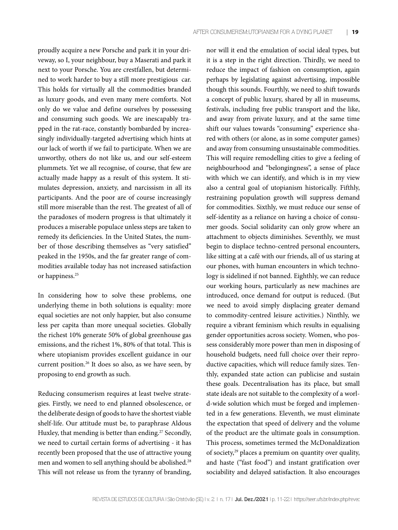proudly acquire a new Porsche and park it in your driveway, so I, your neighbour, buy a Maserati and park it next to your Porsche. You are crestfallen, but determined to work harder to buy a still more prestigious car. This holds for virtually all the commodities branded as luxury goods, and even many mere comforts. Not only do we value and define ourselves by possessing and consuming such goods. We are inescapably trapped in the rat-race, constantly bombarded by increasingly individually-targeted advertising which hints at our lack of worth if we fail to participate. When we are unworthy, others do not like us, and our self-esteem plummets. Yet we all recognise, of course, that few are actually made happy as a result of this system. It stimulates depression, anxiety, and narcissism in all its participants. And the poor are of course increasingly still more miserable than the rest. The greatest of all of the paradoxes of modern progress is that ultimately it produces a miserable populace unless steps are taken to remedy its deficiencies. In the United States, the number of those describing themselves as "very satisfied" peaked in the 1950s, and the far greater range of commodities available today has not increased satisfaction or happiness.<sup>25</sup>

In considering how to solve these problems, one underlying theme in both solutions is equality: more equal societies are not only happier, but also consume less per capita than more unequal societies. Globally the richest 10% generate 50% of global greenhouse gas emissions, and the richest 1%, 80% of that total. This is where utopianism provides excellent guidance in our current position.26 It does so also, as we have seen, by proposing to end growth as such.

Reducing consumerism requires at least twelve strategies. Firstly, we need to end planned obsolescence, or the deliberate design of goods to have the shortest viable shelf-life. Our attitude must be, to paraphrase Aldous Huxley, that mending is better than ending.<sup>27</sup> Secondly, we need to curtail certain forms of advertising - it has recently been proposed that the use of attractive young men and women to sell anything should be abolished.28 This will not release us from the tyranny of branding,

nor will it end the emulation of social ideal types, but it is a step in the right direction. Thirdly, we need to reduce the impact of fashion on consumption, again perhaps by legislating against advertising, impossible though this sounds. Fourthly, we need to shift towards a concept of public luxury, shared by all in museums, festivals, including free public transport and the like, and away from private luxury, and at the same time shift our values towards "consuming" experience shared with others (or alone, as in some computer games) and away from consuming unsustainable commodities. This will require remodelling cities to give a feeling of neighbourhood and "belongingness", a sense of place with which we can identify, and which is in my view also a central goal of utopianism historically. Fifthly, restraining population growth will suppress demand for commodities. Sixthly, we must reduce our sense of self-identity as a reliance on having a choice of consumer goods. Social solidarity can only grow where an attachment to objects diminishes. Seventhly, we must begin to displace techno-centred personal encounters, like sitting at a café with our friends, all of us staring at our phones, with human encounters in which technology is sidelined if not banned. Eighthly, we can reduce our working hours, particularly as new machines are introduced, once demand for output is reduced. (But we need to avoid simply displacing greater demand to commodity-centred leisure activities.) Ninthly, we require a vibrant feminism which results in equalising gender opportunities across society. Women, who possess considerably more power than men in disposing of household budgets, need full choice over their reproductive capacities, which will reduce family sizes. Tenthly, expanded state action can publicise and sustain these goals. Decentralisation has its place, but small state ideals are not suitable to the complexity of a world-wide solution which must be forged and implemented in a few generations. Eleventh, we must eliminate the expectation that speed of delivery and the volume of the product are the ultimate goals in consumption. This process, sometimes termed the McDonaldization of society,29 places a premium on quantity over quality, and haste ("fast food") and instant gratification over sociability and delayed satisfaction. It also encourages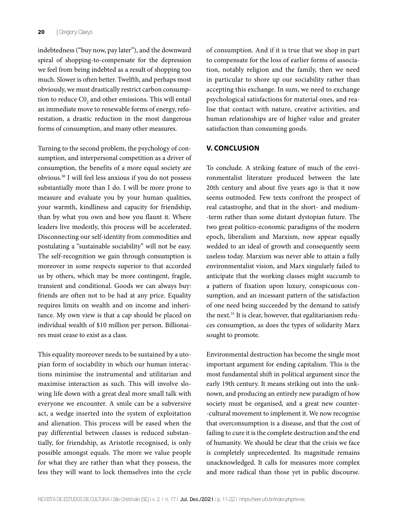indebtedness ("buy now, pay later"), and the downward spiral of shopping-to-compensate for the depression we feel from being indebted as a result of shopping too much. Slower is often better. Twelfth, and perhaps most obviously, we must drastically restrict carbon consumption to reduce  $\text{C0}_\text{2}$  and other emissions. This will entail an immediate move to renewable forms of energy, reforestation, a drastic reduction in the most dangerous forms of consumption, and many other measures.

Turning to the second problem, the psychology of consumption, and interpersonal competition as a driver of consumption, the benefits of a more equal society are obvious.30 I will feel less anxious if you do not possess substantially more than I do. I will be more prone to measure and evaluate you by your human qualities, your warmth, kindliness and capacity for friendship, than by what you own and how you flaunt it. Where leaders live modestly, this process will be accelerated. Disconnecting our self-identity from commodities and postulating a "sustainable sociability" will not be easy. The self-recognition we gain through consumption is moreover in some respects superior to that accorded us by others, which may be more contingent, fragile, transient and conditional. Goods we can always buy: friends are often not to be had at any price. Equality requires limits on wealth and on income and inheritance. My own view is that a cap should be placed on individual wealth of \$10 million per person. Billionaires must cease to exist as a class.

This equality moreover needs to be sustained by a utopian form of sociability in which our human interactions minimise the instrumental and utilitarian and maximise interaction as such. This will involve slowing life down with a great deal more small talk with everyone we encounter. A smile can be a subversive act, a wedge inserted into the system of exploitation and alienation. This process will be eased when the pay differential between classes is reduced substantially, for friendship, as Aristotle recognised, is only possible amongst equals. The more we value people for what they are rather than what they possess, the less they will want to lock themselves into the cycle

of consumption. And if it is true that we shop in part to compensate for the loss of earlier forms of association, notably religion and the family, then we need in particular to shore up our sociability rather than accepting this exchange. In sum, we need to exchange psychological satisfactions for material ones, and realise that contact with nature, creative activities, and human relationships are of higher value and greater satisfaction than consuming goods.

### **V. CONCLUSION**

To conclude. A striking feature of much of the environmentalist literature produced between the late 20th century and about five years ago is that it now seems outmoded. Few texts confront the prospect of real catastrophe, and that in the short- and medium- -term rather than some distant dystopian future. The two great politico-economic paradigms of the modern epoch, liberalism and Marxism, now appear equally wedded to an ideal of growth and consequently seem useless today. Marxism was never able to attain a fully environmentalist vision, and Marx singularly failed to anticipate that the working classes might succumb to a pattern of fixation upon luxury, conspicuous consumption, and an incessant pattern of the satisfaction of one need being succeeded by the demand to satisfy the next.<sup>31</sup> It is clear, however, that egalitarianism reduces consumption, as does the types of solidarity Marx sought to promote.

Environmental destruction has become the single most important argument for ending capitalism. This is the most fundamental shift in political argument since the early 19th century. It means striking out into the unknown, and producing an entirely new paradigm of how society must be organised, and a great new counter- -cultural movement to implement it. We now recognise that overconsumption is a disease, and that the cost of failing to cure it is the complete destruction and the end of humanity. We should be clear that the crisis we face is completely unprecedented. Its magnitude remains unacknowledged. It calls for measures more complex and more radical than those yet in public discourse.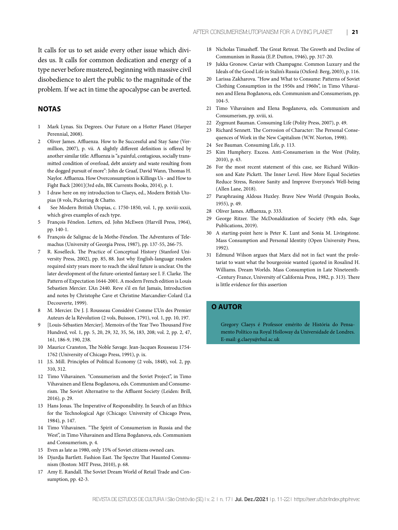It calls for us to set aside every other issue which divides us. It calls for common dedication and energy of a type never before mustered, beginning with massive civil disobedience to alert the public to the magnitude of the problem. If we act in time the apocalypse can be averted.

# **NOTAS**

- 1 Mark Lynas. Six Degrees. Our Future on a Hotter Planet (Harper Perennial, 2008).
- 2 Oliver James. Affluenza. How to Be Successful and Stay Sane (Vermillion, 2007), p. vii. A slightly different definition is offered by another similar title: Affluenza is "a painful, contagious, socially transmitted condition of overload, debt anxiety and waste resulting from the dogged pursuit of more": John de Graaf, David Wann, Thomas H. Naylor. Affluenza. How Overconsumption is Killings Us - and How to Fight Back [2001](3rd edn, BK Currents Books, 2014), p. 1.
- 3 I draw here on my introduction to Claeys, ed., Modern British Utopias (8 vols, Pickering & Chatto.
- 4 See Modern British Utopias, c. 1750-1850, vol. 1, pp. xxviii-xxxii, which gives examples of each type.
- 5 François Fénelon. Letters, ed. John McEwen (Harvill Press, 1964), pp. 140-1.
- 6 François de Salignac de la Mothe-Fénelon. The Adventures of Telemachus (University of Georgia Press, 1987), pp. 137-55, 266-75.
- 7 R. Koselleck. The Practice of Conceptual History (Stanford University Press, 2002), pp. 85, 88. Just why English-language readers required sixty years more to reach the ideal future is unclear. On the later development of the future-oriented fantasy see I. F. Clarke. The Pattern of Expectation 1644-2001. A modern French edition is Louis Sebastien Mercier. L'An 2440. Reve s'il en fut Jamais, Introduction and notes by Christophe Cave et Christine Marcandier-Colard (La Decouverte, 1999).
- 8 M. Mercier. De J. J. Rousseau Considéré Comme L'Un des Premier Auteurs de la Révolution (2 vols, Buisson, 1791), vol. 1, pp. 10, 197.
- 9 [Louis-Sébastien Mercier]. Memoirs of the Year Two Thousand Five Hundred, vol. 1, pp. 5, 20, 29, 32, 35, 56, 183, 208; vol. 2, pp. 2, 47, 161, 186-9, 190, 238.
- 10 Maurice Cranston, The Noble Savage. Jean-Jacques Rousseau 1754- 1762 (University of Chicago Press, 1991), p. ix.
- 11 J.S. Mill. Principles of Political Economy (2 vols, 1848), vol. 2, pp. 310, 312.
- 12 Timo Vihavainen. "Consumerism and the Soviet Project", in Timo Vihavainen and Elena Bogdanova, eds. Communism and Consumerism. The Soviet Alternative to the Affluent Society (Leiden: Brill, 2016), p. 29.
- 13 Hans Jonas. The Imperative of Responsibility. In Search of an Ethics for the Technological Age (Chicago: University of Chicago Press, 1984), p. 147.
- 14 Timo Vihavainen. "The Spirit of Consumerism in Russia and the West", in Timo Vihavainen and Elena Bogdanova, eds. Communism and Consumerism, p. 4.
- 15 Even as late as 1980, only 15% of Soviet citizens owned cars.
- 16 Djurdja Bartlett. Fashion East. The Spectre That Haunted Communism (Boston: MIT Press, 2010), p. 68.
- 17 Amy E. Randall. The Soviet Dream World of Retail Trade and Consumption, pp. 42-3.
- 18 Nicholas Timasheff. The Great Retreat. The Growth and Decline of Communism in Russia (E.P. Dutton, 1946), pp. 317-20.
- 19 Jukka Gronow. Caviar with Champagne. Common Luxury and the Ideals of the Good Life in Stalin's Russia (Oxford: Berg, 2003), p. 116.
- 20 Larissa Zakharova. "How and What to Consume: Patterns of Soviet Clothing Consumption in the 1950s and 1960s", in Timo Vihavainen and Elena Bogdanova, eds. Communism and Consumerism, pp. 104-5.
- 21 Timo Vihavainen and Elena Bogdanova, eds. Communism and Consumerism, pp. xviii, xi.
- 22 Zygmunt Bauman. Consuming Life (Polity Press, 2007), p. 49.
- Richard Sennett. The Corrosion of Character: The Personal Consequences of Work in the New Capitalism (W.W. Norton, 1998).
- 24 See Bauman. Consuming Life, p. 113.
- 25 Kim Humphery. Excess. Anti-Consumerism in the West (Polity, 2010), p. 43.
- 26 For the most recent statement of this case, see Richard Wilkinson and Kate Pickett. The Inner Level. How More Equal Societies Reduce Stress, Restore Sanity and Improve Everyone's Well-being (Allen Lane, 2018).
- 27 Paraphrasing Aldous Huxley. Brave New World (Penguin Books, 1955), p. 49.
- 28 Oliver James. Affluenza, p. 333.
- 29 George Ritzer. The McDonaldization of Society (9th edn, Sage Publications, 2019).
- 30 A starting-point here is Peter K. Lunt and Sonia M. Livingstone. Mass Consumption and Personal Identity (Open University Press, 1992).
- 31 Edmund Wilson argues that Marx did not in fact want the proletariat to want what the bourgeoisie wanted (quoted in Rosalind H. Williams. Dream Worlds. Mass Consumption in Late Nineteenth- -Century France, University of California Press, 1982, p. 313). There is little evidence for this assertion

#### **O AUTOR**

Gregory Claeys é Professor emérito de História do Pensamento Político na Royal Holloway da Universidade de Londres. E-mail: g.claeys@rhul.ac.uk